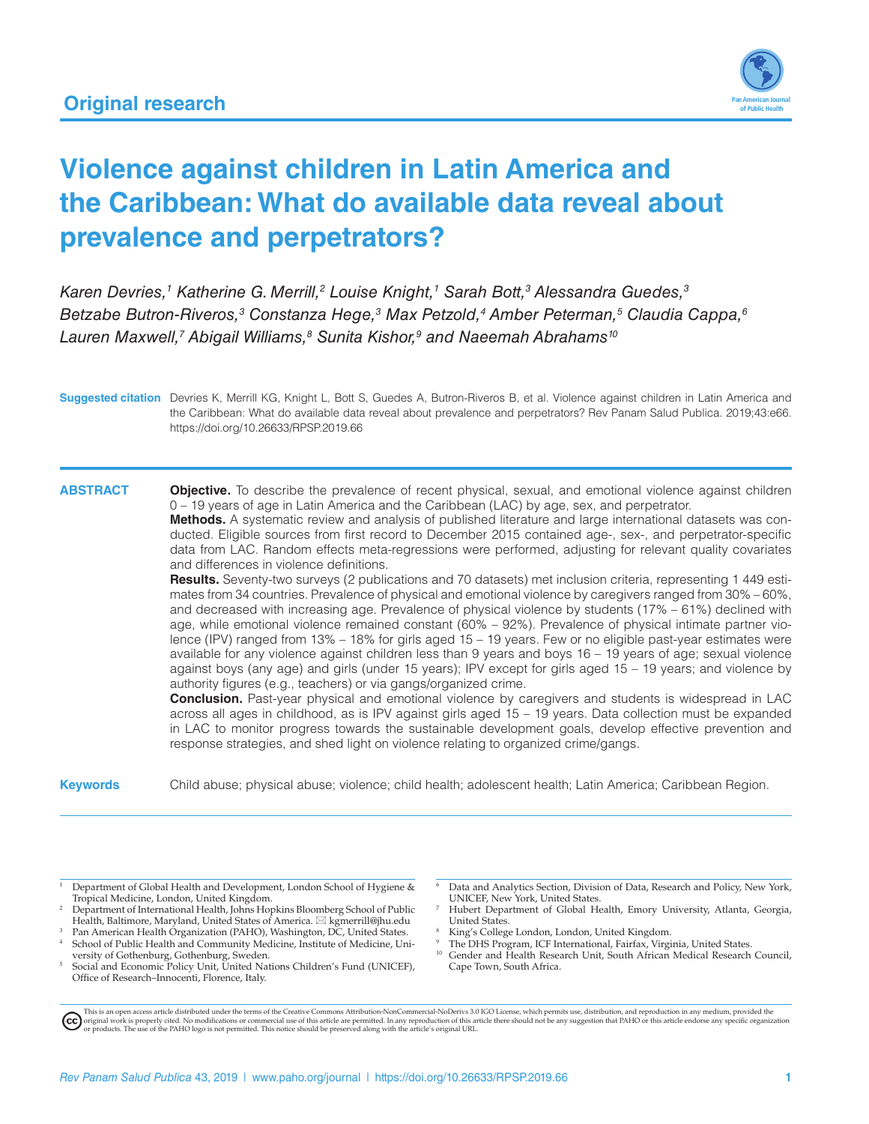

# **Violence against children in Latin America and the Caribbean: What do available data reveal about prevalence and perpetrators?**

Karen Devries,<sup>1</sup> Katherine G. Merrill,<sup>2</sup> Louise Knight,<sup>1</sup> Sarah Bott,<sup>3</sup> Alessandra Guedes,<sup>3</sup> Betzabe Butron-Riveros,<sup>3</sup> Constanza Hege,<sup>3</sup> Max Petzold,<sup>4</sup> Amber Peterman,<sup>5</sup> Claudia Cappa,<sup>6</sup> *Lauren Maxwell,7 Abigail Williams,8 Sunita Kishor,9 and Naeemah Abrahams10*

**Suggested citation** Devries K, Merrill KG, Knight L, Bott S, Guedes A, Butron-Riveros B, et al. Violence against children in Latin America and the Caribbean: What do available data reveal about prevalence and perpetrators? Rev Panam Salud Publica. 2019;43:e66. <https://doi.org/10.26633/RPSP.2019.66>

**ABSTRACT Objective.** To describe the prevalence of recent physical, sexual, and emotional violence against children 0 – 19 years of age in Latin America and the Caribbean (LAC) by age, sex, and perpetrator.

**Methods.** A systematic review and analysis of published literature and large international datasets was conducted. Eligible sources from first record to December 2015 contained age-, sex-, and perpetrator-specific data from LAC. Random effects meta-regressions were performed, adjusting for relevant quality covariates and differences in violence definitions.

**Results.** Seventy-two surveys (2 publications and 70 datasets) met inclusion criteria, representing 1 449 estimates from 34 countries. Prevalence of physical and emotional violence by caregivers ranged from 30% – 60%, and decreased with increasing age. Prevalence of physical violence by students (17% – 61%) declined with age, while emotional violence remained constant (60% – 92%). Prevalence of physical intimate partner violence (IPV) ranged from 13% – 18% for girls aged 15 – 19 years. Few or no eligible past-year estimates were available for any violence against children less than 9 years and boys 16 – 19 years of age; sexual violence against boys (any age) and girls (under 15 years); IPV except for girls aged 15 – 19 years; and violence by authority figures (e.g., teachers) or via gangs/organized crime.

**Conclusion.** Past-year physical and emotional violence by caregivers and students is widespread in LAC across all ages in childhood, as is IPV against girls aged 15 – 19 years. Data collection must be expanded in LAC to monitor progress towards the sustainable development goals, develop effective prevention and response strategies, and shed light on violence relating to organized crime/gangs.

**Keywords** Child abuse; physical abuse; violence; child health; adolescent health; Latin America; Caribbean Region.

Department of Global Health and Development, London School of Hygiene & Tropical Medicine, London, United Kingdom.

- <sup>2</sup> Department of International Health, Johns Hopkins Bloomberg School of Public Health, Baltimore, Maryland, United States of America.  $\boxtimes$  [kgmerrill@jhu.edu](mailto:kgmerrill@jhu.edu)
- <sup>3</sup> Pan American Health Organization (PAHO), Washington, DC, United States. <sup>4</sup> School of Public Health and Community Medicine, Institute of Medicine, Uni-
- versity of Gothenburg, Gothenburg, Sweden.<br><sup>5</sup> Social and Economic Policy Unit, United Nations Children's Fund (UNICEF), Office of Research–Innocenti, Florence, Italy.

Data and Analytics Section, Division of Data, Research and Policy, New York, UNICEF, New York, United States.

- Hubert Department of Global Health, Emory University, Atlanta, Georgia, United States.
- <sup>8</sup> King's College London, London, United Kingdom.
- <sup>9</sup> The DHS Program, ICF International, Fairfax, Virginia, United States.<br><sup>10</sup> Condational Health Research Unit, South African Modical Research.
- Gender and Health Research Unit, South African Medical Research Council, Cape Town, South Africa.

This is an open access article distributed under the terms of the [Creative Commons Attribution-NonCommercial-NoDerivs 3.0 IGO License](https://creativecommons.org/licenses/by-nc-nd/3.0/igo/legalcode), which permits use, distribution, and reproduction in any medium, provided the<br>orignal w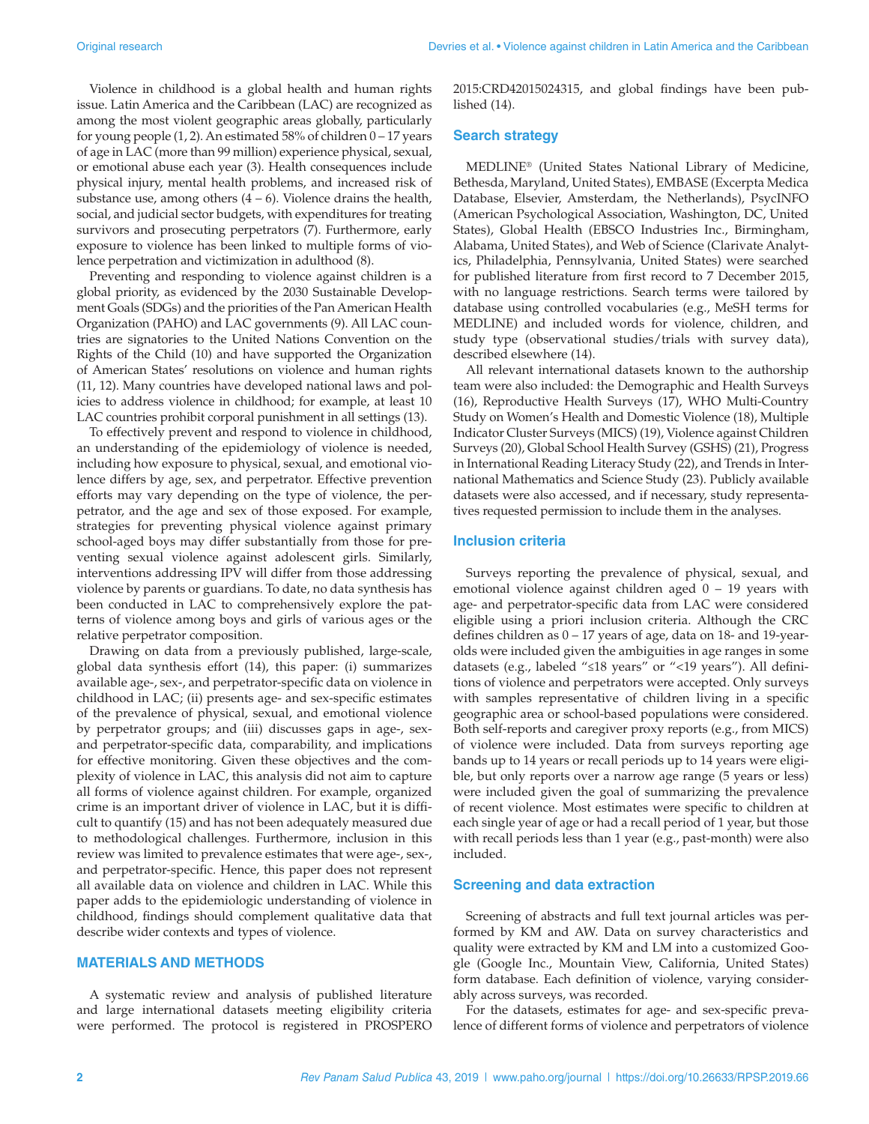Violence in childhood is a global health and human rights issue. Latin America and the Caribbean (LAC) are recognized as among the most violent geographic areas globally, particularly for young people  $(1, 2)$ . An estimated 58% of children  $0 - 17$  years of age in LAC (more than 99 million) experience physical, sexual, or emotional abuse each year (3). Health consequences include physical injury, mental health problems, and increased risk of substance use, among others  $(4 - 6)$ . Violence drains the health, social, and judicial sector budgets, with expenditures for treating survivors and prosecuting perpetrators (7). Furthermore, early exposure to violence has been linked to multiple forms of violence perpetration and victimization in adulthood (8).

Preventing and responding to violence against children is a global priority, as evidenced by the 2030 Sustainable Development Goals (SDGs) and the priorities of the Pan American Health Organization (PAHO) and LAC governments (9). All LAC countries are signatories to the United Nations Convention on the Rights of the Child (10) and have supported the Organization of American States' resolutions on violence and human rights (11, 12). Many countries have developed national laws and policies to address violence in childhood; for example, at least 10 LAC countries prohibit corporal punishment in all settings (13).

To effectively prevent and respond to violence in childhood, an understanding of the epidemiology of violence is needed, including how exposure to physical, sexual, and emotional violence differs by age, sex, and perpetrator. Effective prevention efforts may vary depending on the type of violence, the perpetrator, and the age and sex of those exposed. For example, strategies for preventing physical violence against primary school-aged boys may differ substantially from those for preventing sexual violence against adolescent girls. Similarly, interventions addressing IPV will differ from those addressing violence by parents or guardians. To date, no data synthesis has been conducted in LAC to comprehensively explore the patterns of violence among boys and girls of various ages or the relative perpetrator composition.

Drawing on data from a previously published, large-scale, global data synthesis effort (14), this paper: (i) summarizes available age-, sex-, and perpetrator-specific data on violence in childhood in LAC; (ii) presents age- and sex-specific estimates of the prevalence of physical, sexual, and emotional violence by perpetrator groups; and (iii) discusses gaps in age-, sexand perpetrator-specific data, comparability, and implications for effective monitoring. Given these objectives and the complexity of violence in LAC, this analysis did not aim to capture all forms of violence against children. For example, organized crime is an important driver of violence in LAC, but it is difficult to quantify (15) and has not been adequately measured due to methodological challenges. Furthermore, inclusion in this review was limited to prevalence estimates that were age-, sex-, and perpetrator-specific. Hence, this paper does not represent all available data on violence and children in LAC. While this paper adds to the epidemiologic understanding of violence in childhood, findings should complement qualitative data that describe wider contexts and types of violence.

#### **MATERIALS AND METHODS**

A systematic review and analysis of published literature and large international datasets meeting eligibility criteria were performed. The protocol is registered in PROSPERO 2015:CRD42015024315, and global findings have been published (14).

#### **Search strategy**

MEDLINE® (United States National Library of Medicine, Bethesda, Maryland, United States), EMBASE (Excerpta Medica Database, Elsevier, Amsterdam, the Netherlands), PsycINFO (American Psychological Association, Washington, DC, United States), Global Health (EBSCO Industries Inc., Birmingham, Alabama, United States), and Web of Science (Clarivate Analytics, Philadelphia, Pennsylvania, United States) were searched for published literature from first record to 7 December 2015, with no language restrictions. Search terms were tailored by database using controlled vocabularies (e.g., MeSH terms for MEDLINE) and included words for violence, children, and study type (observational studies/trials with survey data), described elsewhere (14).

All relevant international datasets known to the authorship team were also included: the Demographic and Health Surveys (16), Reproductive Health Surveys (17), WHO Multi-Country Study on Women's Health and Domestic Violence (18), Multiple Indicator Cluster Surveys (MICS) (19), Violence against Children Surveys (20), Global School Health Survey (GSHS) (21), Progress in International Reading Literacy Study (22), and Trends in International Mathematics and Science Study (23). Publicly available datasets were also accessed, and if necessary, study representatives requested permission to include them in the analyses.

#### **Inclusion criteria**

Surveys reporting the prevalence of physical, sexual, and emotional violence against children aged 0 – 19 years with age- and perpetrator-specific data from LAC were considered eligible using a priori inclusion criteria. Although the CRC defines children as 0 – 17 years of age, data on 18- and 19-yearolds were included given the ambiguities in age ranges in some datasets (e.g., labeled "≤18 years" or "<19 years"). All definitions of violence and perpetrators were accepted. Only surveys with samples representative of children living in a specific geographic area or school-based populations were considered. Both self-reports and caregiver proxy reports (e.g., from MICS) of violence were included. Data from surveys reporting age bands up to 14 years or recall periods up to 14 years were eligible, but only reports over a narrow age range (5 years or less) were included given the goal of summarizing the prevalence of recent violence. Most estimates were specific to children at each single year of age or had a recall period of 1 year, but those with recall periods less than 1 year (e.g., past-month) were also included.

#### **Screening and data extraction**

Screening of abstracts and full text journal articles was performed by KM and AW. Data on survey characteristics and quality were extracted by KM and LM into a customized Google (Google Inc., Mountain View, California, United States) form database. Each definition of violence, varying considerably across surveys, was recorded.

For the datasets, estimates for age- and sex-specific prevalence of different forms of violence and perpetrators of violence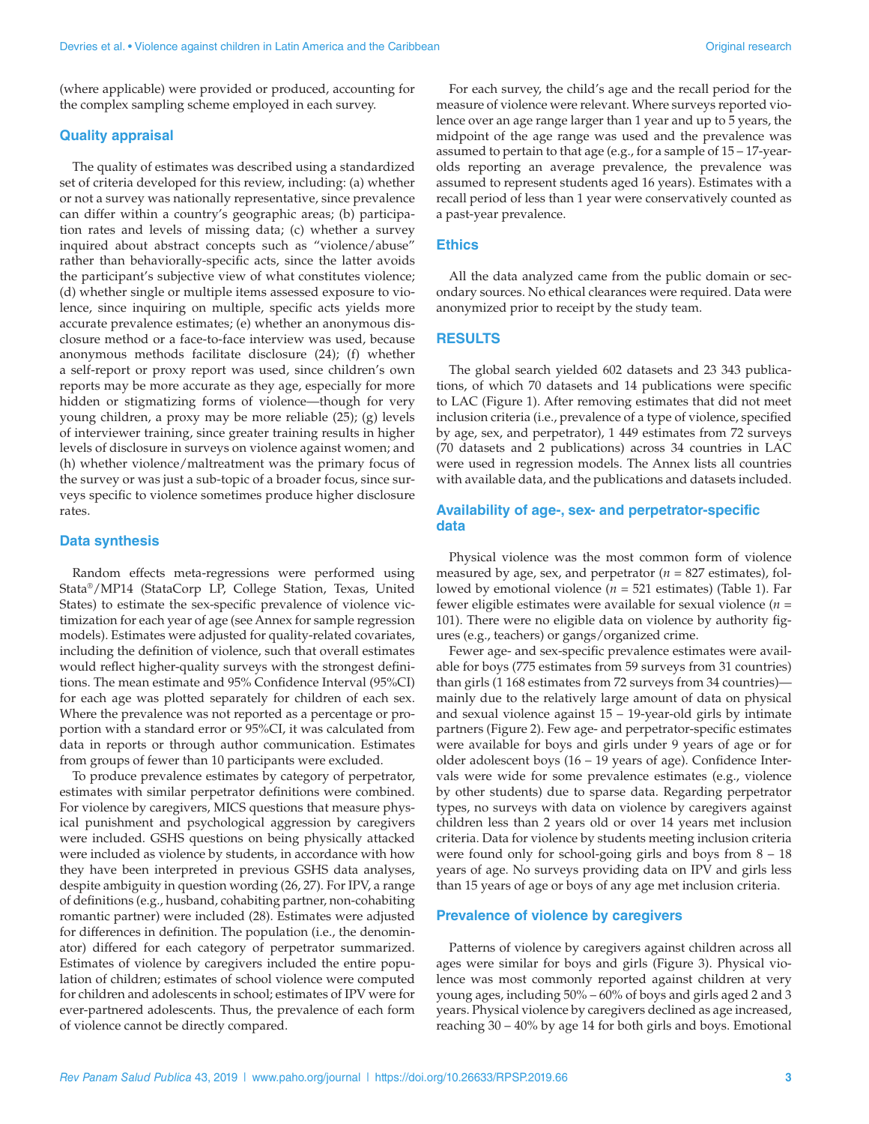(where applicable) were provided or produced, accounting for the complex sampling scheme employed in each survey.

#### **Quality appraisal**

The quality of estimates was described using a standardized set of criteria developed for this review, including: (a) whether or not a survey was nationally representative, since prevalence can differ within a country's geographic areas; (b) participation rates and levels of missing data; (c) whether a survey inquired about abstract concepts such as "violence/abuse" rather than behaviorally-specific acts, since the latter avoids the participant's subjective view of what constitutes violence; (d) whether single or multiple items assessed exposure to violence, since inquiring on multiple, specific acts yields more accurate prevalence estimates; (e) whether an anonymous disclosure method or a face-to-face interview was used, because anonymous methods facilitate disclosure (24); (f) whether a self-report or proxy report was used, since children's own reports may be more accurate as they age, especially for more hidden or stigmatizing forms of violence—though for very young children, a proxy may be more reliable (25); (g) levels of interviewer training, since greater training results in higher levels of disclosure in surveys on violence against women; and (h) whether violence/maltreatment was the primary focus of the survey or was just a sub-topic of a broader focus, since surveys specific to violence sometimes produce higher disclosure rates.

#### **Data synthesis**

Random effects meta-regressions were performed using Stata®/MP14 (StataCorp LP, College Station, Texas, United States) to estimate the sex-specific prevalence of violence victimization for each year of age (see [Annex](https://www.paho.org/journal/sites/default/files/2019-09/66-19-218-Merrill%20-%20Annex.pdf) for sample regression models). Estimates were adjusted for quality-related covariates, including the definition of violence, such that overall estimates would reflect higher-quality surveys with the strongest definitions. The mean estimate and 95% Confidence Interval (95%CI) for each age was plotted separately for children of each sex. Where the prevalence was not reported as a percentage or proportion with a standard error or 95%CI, it was calculated from data in reports or through author communication. Estimates from groups of fewer than 10 participants were excluded.

To produce prevalence estimates by category of perpetrator, estimates with similar perpetrator definitions were combined. For violence by caregivers, MICS questions that measure physical punishment and psychological aggression by caregivers were included. GSHS questions on being physically attacked were included as violence by students, in accordance with how they have been interpreted in previous GSHS data analyses, despite ambiguity in question wording (26, 27). For IPV, a range of definitions (e.g., husband, cohabiting partner, non-cohabiting romantic partner) were included (28). Estimates were adjusted for differences in definition. The population (i.e., the denominator) differed for each category of perpetrator summarized. Estimates of violence by caregivers included the entire population of children; estimates of school violence were computed for children and adolescents in school; estimates of IPV were for ever-partnered adolescents. Thus, the prevalence of each form of violence cannot be directly compared.

For each survey, the child's age and the recall period for the measure of violence were relevant. Where surveys reported violence over an age range larger than 1 year and up to 5 years, the midpoint of the age range was used and the prevalence was assumed to pertain to that age (e.g., for a sample of 15 – 17-yearolds reporting an average prevalence, the prevalence was assumed to represent students aged 16 years). Estimates with a recall period of less than 1 year were conservatively counted as a past-year prevalence.

#### **Ethics**

All the data analyzed came from the public domain or secondary sources. No ethical clearances were required. Data were anonymized prior to receipt by the study team.

### **RESULTS**

The global search yielded 602 datasets and 23 343 publications, of which 70 datasets and 14 publications were specific to LAC (Figure 1). After removing estimates that did not meet inclusion criteria (i.e., prevalence of a type of violence, specified by age, sex, and perpetrator), 1 449 estimates from 72 surveys (70 datasets and 2 publications) across 34 countries in LAC were used in regression models. The [Annex](https://www.paho.org/journal/sites/default/files/2019-09/66-19-218-Merrill%20-%20Annex.pdf) lists all countries with available data, and the publications and datasets included.

### **Availability of age-, sex- and perpetrator-specific data**

Physical violence was the most common form of violence measured by age, sex, and perpetrator (*n* = 827 estimates), followed by emotional violence (*n* = 521 estimates) (Table 1). Far fewer eligible estimates were available for sexual violence (*n* = 101). There were no eligible data on violence by authority figures (e.g., teachers) or gangs/organized crime.

Fewer age- and sex-specific prevalence estimates were available for boys (775 estimates from 59 surveys from 31 countries) than girls (1 168 estimates from 72 surveys from 34 countries) mainly due to the relatively large amount of data on physical and sexual violence against  $15 - 19$ -year-old girls by intimate partners (Figure 2). Few age- and perpetrator-specific estimates were available for boys and girls under 9 years of age or for older adolescent boys (16 – 19 years of age). Confidence Intervals were wide for some prevalence estimates (e.g., violence by other students) due to sparse data. Regarding perpetrator types, no surveys with data on violence by caregivers against children less than 2 years old or over 14 years met inclusion criteria. Data for violence by students meeting inclusion criteria were found only for school-going girls and boys from 8 – 18 years of age. No surveys providing data on IPV and girls less than 15 years of age or boys of any age met inclusion criteria.

#### **Prevalence of violence by caregivers**

Patterns of violence by caregivers against children across all ages were similar for boys and girls (Figure 3). Physical violence was most commonly reported against children at very young ages, including 50% – 60% of boys and girls aged 2 and 3 years. Physical violence by caregivers declined as age increased, reaching 30 – 40% by age 14 for both girls and boys. Emotional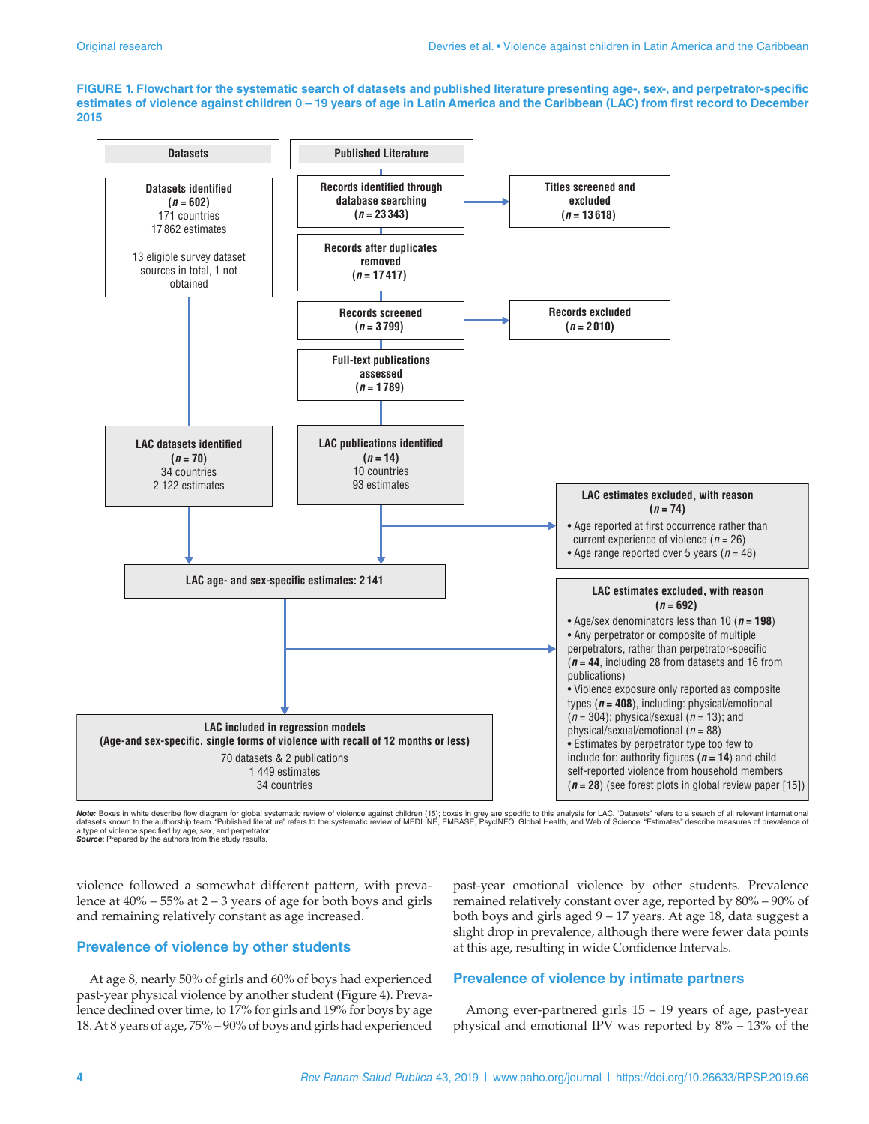**FIGURE 1. Flowchart for the systematic search of datasets and published literature presenting age-, sex-, and perpetrator-specific estimates of violence against children 0 – 19 years of age in Latin America and the Caribbean (LAC) from first record to December 2015**



Note: Boxes in white describe flow diagram for global systematic review of violence against children (15); boxes in grey are specific to this analysis for LAC. "Datasets" refers to a search of all relevant international<br>da a type of violence specified by age, sex, and perpetrator. *Source*: Prepared by the authors from the study results.

violence followed a somewhat different pattern, with prevalence at  $40\%$  – 55% at 2 – 3 years of age for both boys and girls and remaining relatively constant as age increased.

#### **Prevalence of violence by other students**

At age 8, nearly 50% of girls and 60% of boys had experienced past-year physical violence by another student (Figure 4). Prevalence declined over time, to 17% for girls and 19% for boys by age 18. At 8 years of age, 75% – 90% of boys and girls had experienced

past-year emotional violence by other students. Prevalence remained relatively constant over age, reported by 80% – 90% of both boys and girls aged 9 – 17 years. At age 18, data suggest a slight drop in prevalence, although there were fewer data points at this age, resulting in wide Confidence Intervals.

### **Prevalence of violence by intimate partners**

Among ever-partnered girls 15 – 19 years of age, past-year physical and emotional IPV was reported by 8% – 13% of the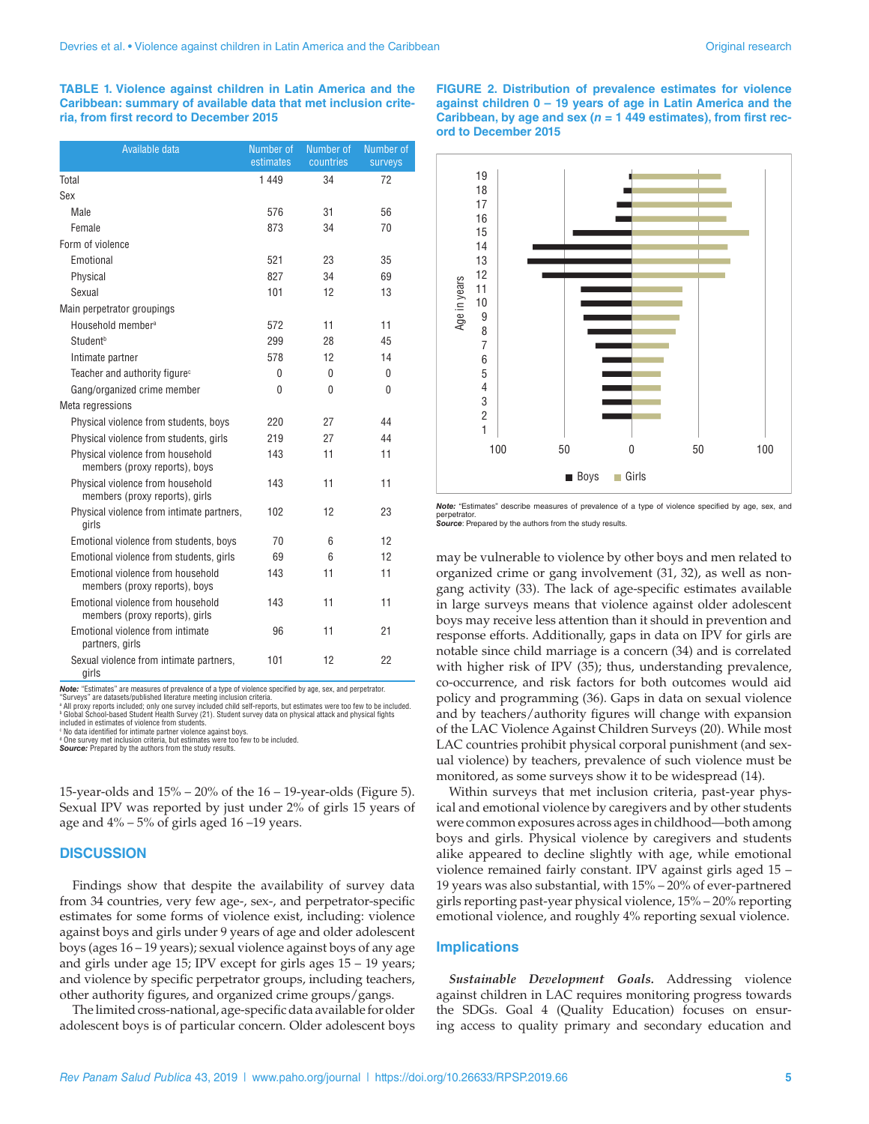**TABLE 1. Violence against children in Latin America and the Caribbean: summary of available data that met inclusion criteria, from first record to December 2015**

| Available data                                                      | Number of<br>estimates | Number of<br>countries | Number of<br>surveys |
|---------------------------------------------------------------------|------------------------|------------------------|----------------------|
| Total                                                               | 1449                   | 34                     | 72                   |
| Sex                                                                 |                        |                        |                      |
| Male                                                                | 576                    | 31                     | 56                   |
| Female                                                              | 873                    | 34                     | 70                   |
| Form of violence                                                    |                        |                        |                      |
| Emotional                                                           | 521                    | 23                     | 35                   |
| Physical                                                            | 827                    | 34                     | 69                   |
| Sexual                                                              | 101                    | 12                     | 13                   |
| Main perpetrator groupings                                          |                        |                        |                      |
| Household member <sup>a</sup>                                       | 572                    | 11                     | 11                   |
| Student <sup>b</sup>                                                | 299                    | 28                     | 45                   |
| Intimate partner                                                    | 578                    | 12                     | 14                   |
| Teacher and authority figure <sup>c</sup>                           | 0                      | 0                      | 0                    |
| Gang/organized crime member                                         | $\Omega$               | 0                      | 0                    |
| Meta regressions                                                    |                        |                        |                      |
| Physical violence from students, boys                               | 220                    | 27                     | 44                   |
| Physical violence from students, girls                              | 219                    | 27                     | 44                   |
| Physical violence from household<br>members (proxy reports), boys   | 143                    | 11                     | 11                   |
| Physical violence from household<br>members (proxy reports), girls  | 143                    | 11                     | 11                   |
| Physical violence from intimate partners,<br>girls                  | 102                    | 12                     | 23                   |
| Emotional violence from students, boys                              | 70                     | 6                      | 12                   |
| Emotional violence from students, girls                             | 69                     | 6                      | 12                   |
| Emotional violence from household<br>members (proxy reports), boys  | 143                    | 11                     | 11                   |
| Emotional violence from household<br>members (proxy reports), girls | 143                    | 11                     | 11                   |
| Emotional violence from intimate<br>partners, girls                 | 96                     | 11                     | 21                   |
| Sexual violence from intimate partners,<br>girls                    | 101                    | 12                     | 22                   |

*Note:* "Estimates" are measures of prevalence of a type of violence specified by age, sex, and perpetrator. "Surveys" are datasets/published literature meeting inclusion criteria.

a All proxy reports included; only one survey included child self-reports, but estimates were too few to be included.

b Global School-based Student Health Survey (21). Student survey data on physical attack and physical fights included in estimates of violence from students.

 $\,^{\circ}$  No data identified for intimate partner violence against boys.

d One survey met inclusion criteria, but estimates were too few to be included. **Source:** Prepared by the authors from the study results.

15-year-olds and 15% – 20% of the 16 – 19-year-olds (Figure 5). Sexual IPV was reported by just under 2% of girls 15 years of age and  $4\%$  – 5% of girls aged 16 –19 years.

#### **DISCUSSION**

Findings show that despite the availability of survey data from 34 countries, very few age-, sex-, and perpetrator-specific estimates for some forms of violence exist, including: violence against boys and girls under 9 years of age and older adolescent boys (ages 16 – 19 years); sexual violence against boys of any age and girls under age 15; IPV except for girls ages 15 – 19 years; and violence by specific perpetrator groups, including teachers, other authority figures, and organized crime groups/gangs.

The limited cross-national, age-specific data available for older adolescent boys is of particular concern. Older adolescent boys **FIGURE 2. Distribution of prevalence estimates for violence against children 0 – 19 years of age in Latin America and the Caribbean, by age and sex (***n =* **1 449 estimates), from first record to December 2015**



*Note:* "Estimates" describe measures of prevalence of a type of violence specified by age, sex, and perpetrator. *Source*: Prepared by the authors from the study results.

may be vulnerable to violence by other boys and men related to organized crime or gang involvement (31, 32), as well as nongang activity (33). The lack of age-specific estimates available in large surveys means that violence against older adolescent boys may receive less attention than it should in prevention and response efforts. Additionally, gaps in data on IPV for girls are notable since child marriage is a concern (34) and is correlated with higher risk of IPV (35); thus, understanding prevalence, co-occurrence, and risk factors for both outcomes would aid policy and programming (36). Gaps in data on sexual violence and by teachers/authority figures will change with expansion of the LAC Violence Against Children Surveys (20). While most LAC countries prohibit physical corporal punishment (and sexual violence) by teachers, prevalence of such violence must be monitored, as some surveys show it to be widespread (14).

Within surveys that met inclusion criteria, past-year physical and emotional violence by caregivers and by other students were common exposures across ages in childhood—both among boys and girls. Physical violence by caregivers and students alike appeared to decline slightly with age, while emotional violence remained fairly constant. IPV against girls aged 15 – 19 years was also substantial, with 15% – 20% of ever-partnered girls reporting past-year physical violence, 15% – 20% reporting emotional violence, and roughly 4% reporting sexual violence.

#### **Implications**

*Sustainable Development Goals.* Addressing violence against children in LAC requires monitoring progress towards the SDGs. Goal 4 (Quality Education) focuses on ensuring access to quality primary and secondary education and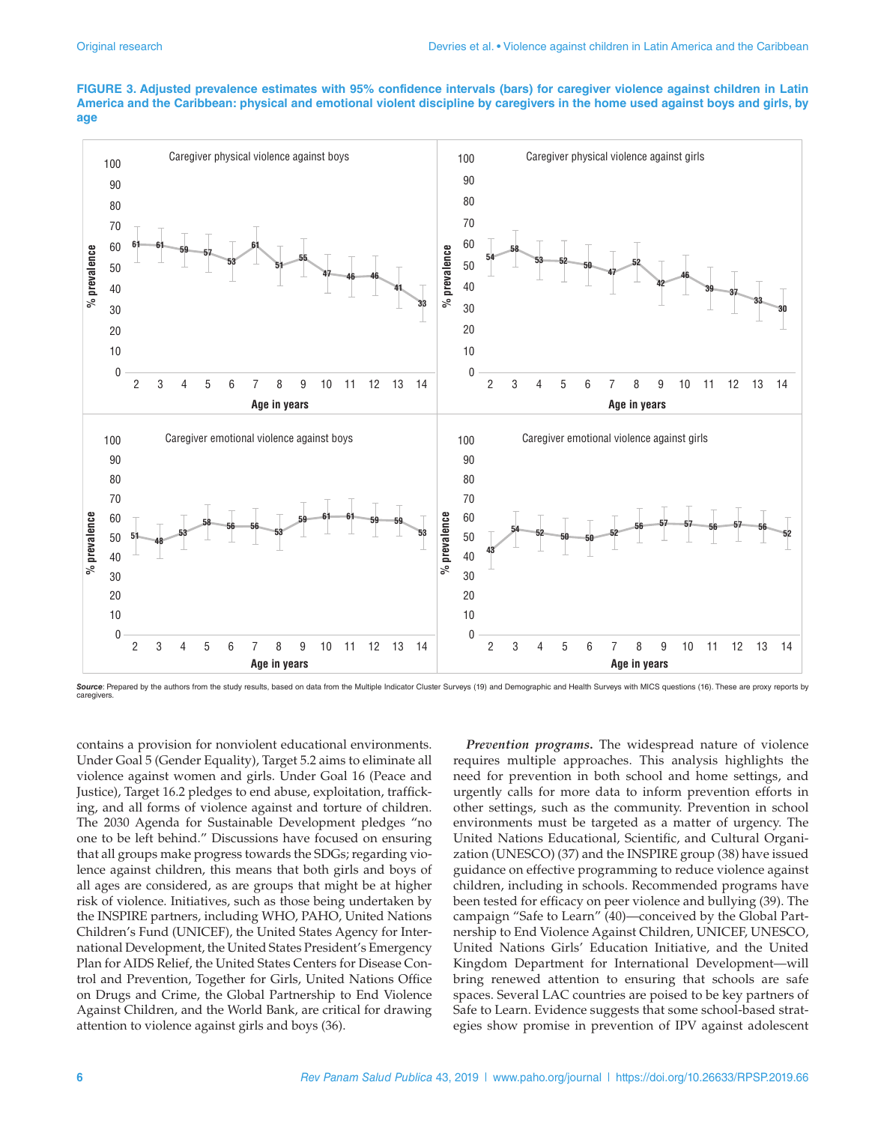#### **FIGURE 3. Adjusted prevalence estimates with 95% confidence intervals (bars) for caregiver violence against children in Latin America and the Caribbean: physical and emotional violent discipline by caregivers in the home used against boys and girls, by age**



Source: Prepared by the authors from the study results, based on data from the Multiple Indicator Cluster Surveys (19) and Demographic and Health Surveys with MICS questions (16). These are proxy reports by caregivers.

contains a provision for nonviolent educational environments. Under Goal 5 (Gender Equality), Target 5.2 aims to eliminate all violence against women and girls. Under Goal 16 (Peace and Justice), Target 16.2 pledges to end abuse, exploitation, trafficking, and all forms of violence against and torture of children. The 2030 Agenda for Sustainable Development pledges "no one to be left behind." Discussions have focused on ensuring that all groups make progress towards the SDGs; regarding violence against children, this means that both girls and boys of all ages are considered, as are groups that might be at higher risk of violence. Initiatives, such as those being undertaken by the INSPIRE partners, including WHO, PAHO, United Nations Children's Fund (UNICEF), the United States Agency for International Development, the United States President's Emergency Plan for AIDS Relief, the United States Centers for Disease Control and Prevention, Together for Girls, United Nations Office on Drugs and Crime, the Global Partnership to End Violence Against Children, and the World Bank, are critical for drawing attention to violence against girls and boys (36).

*Prevention programs***.** The widespread nature of violence requires multiple approaches. This analysis highlights the need for prevention in both school and home settings, and urgently calls for more data to inform prevention efforts in other settings, such as the community. Prevention in school environments must be targeted as a matter of urgency. The United Nations Educational, Scientific, and Cultural Organization (UNESCO) (37) and the INSPIRE group (38) have issued guidance on effective programming to reduce violence against children, including in schools. Recommended programs have been tested for efficacy on peer violence and bullying (39). The campaign "Safe to Learn" (40)—conceived by the Global Partnership to End Violence Against Children, UNICEF, UNESCO, United Nations Girls' Education Initiative, and the United Kingdom Department for International Development—will bring renewed attention to ensuring that schools are safe spaces. Several LAC countries are poised to be key partners of Safe to Learn. Evidence suggests that some school-based strategies show promise in prevention of IPV against adolescent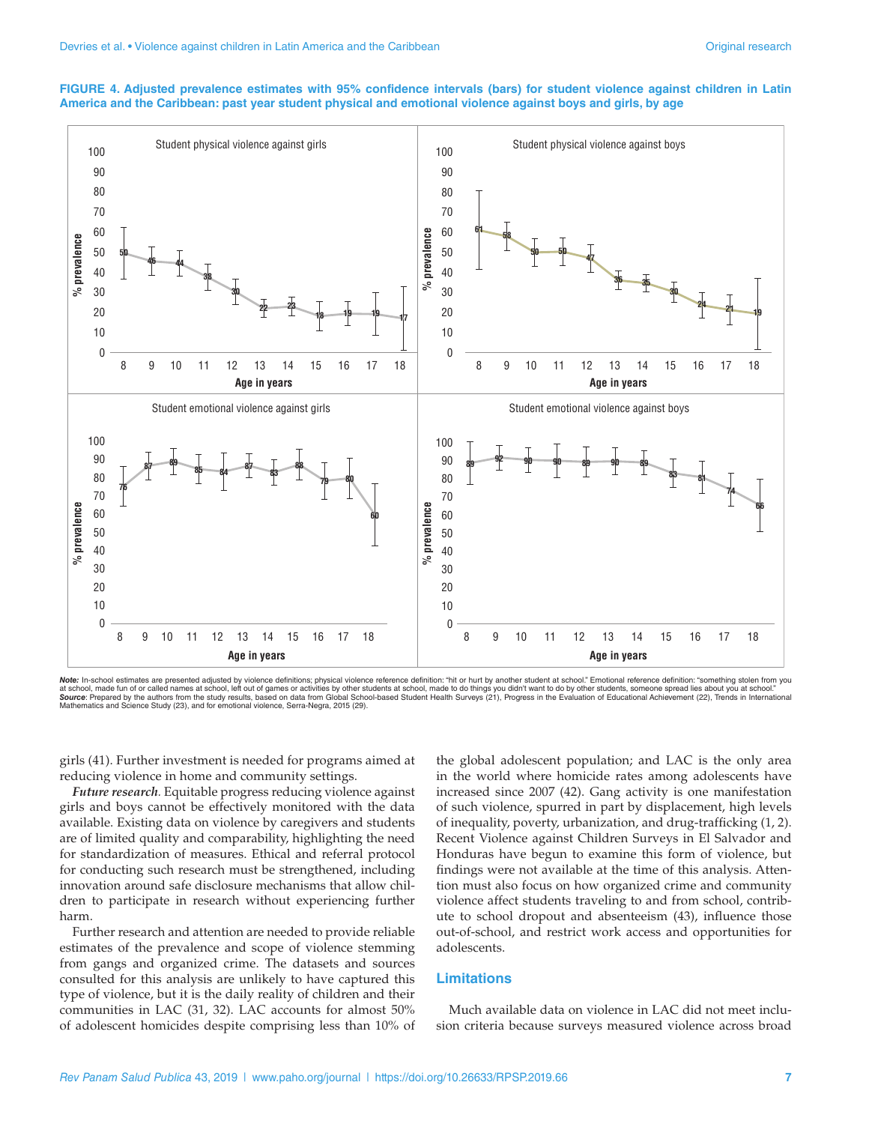#### **FIGURE 4. Adjusted prevalence estimates with 95% confidence intervals (bars) for student violence against children in Latin America and the Caribbean: past year student physical and emotional violence against boys and girls, by age**



**Note:** In-school estimates are presented adjusted by violence definitions; physical violence reference definition: "hit or hurt by another student at school." Emotional reference definition: "something stolen from you<br>at Mathematics and Science Study (23), and for emotional violence, Serra-Negra, 2015 (29).

girls (41). Further investment is needed for programs aimed at reducing violence in home and community settings.

*Future research.* Equitable progress reducing violence against girls and boys cannot be effectively monitored with the data available. Existing data on violence by caregivers and students are of limited quality and comparability, highlighting the need for standardization of measures. Ethical and referral protocol for conducting such research must be strengthened, including innovation around safe disclosure mechanisms that allow children to participate in research without experiencing further harm.

Further research and attention are needed to provide reliable estimates of the prevalence and scope of violence stemming from gangs and organized crime. The datasets and sources consulted for this analysis are unlikely to have captured this type of violence, but it is the daily reality of children and their communities in LAC (31, 32). LAC accounts for almost 50% of adolescent homicides despite comprising less than 10% of

the global adolescent population; and LAC is the only area in the world where homicide rates among adolescents have increased since 2007 (42). Gang activity is one manifestation of such violence, spurred in part by displacement, high levels of inequality, poverty, urbanization, and drug-trafficking (1, 2). Recent Violence against Children Surveys in El Salvador and Honduras have begun to examine this form of violence, but findings were not available at the time of this analysis. Attention must also focus on how organized crime and community violence affect students traveling to and from school, contribute to school dropout and absenteeism (43), influence those out-of-school, and restrict work access and opportunities for adolescents.

#### **Limitations**

Much available data on violence in LAC did not meet inclusion criteria because surveys measured violence across broad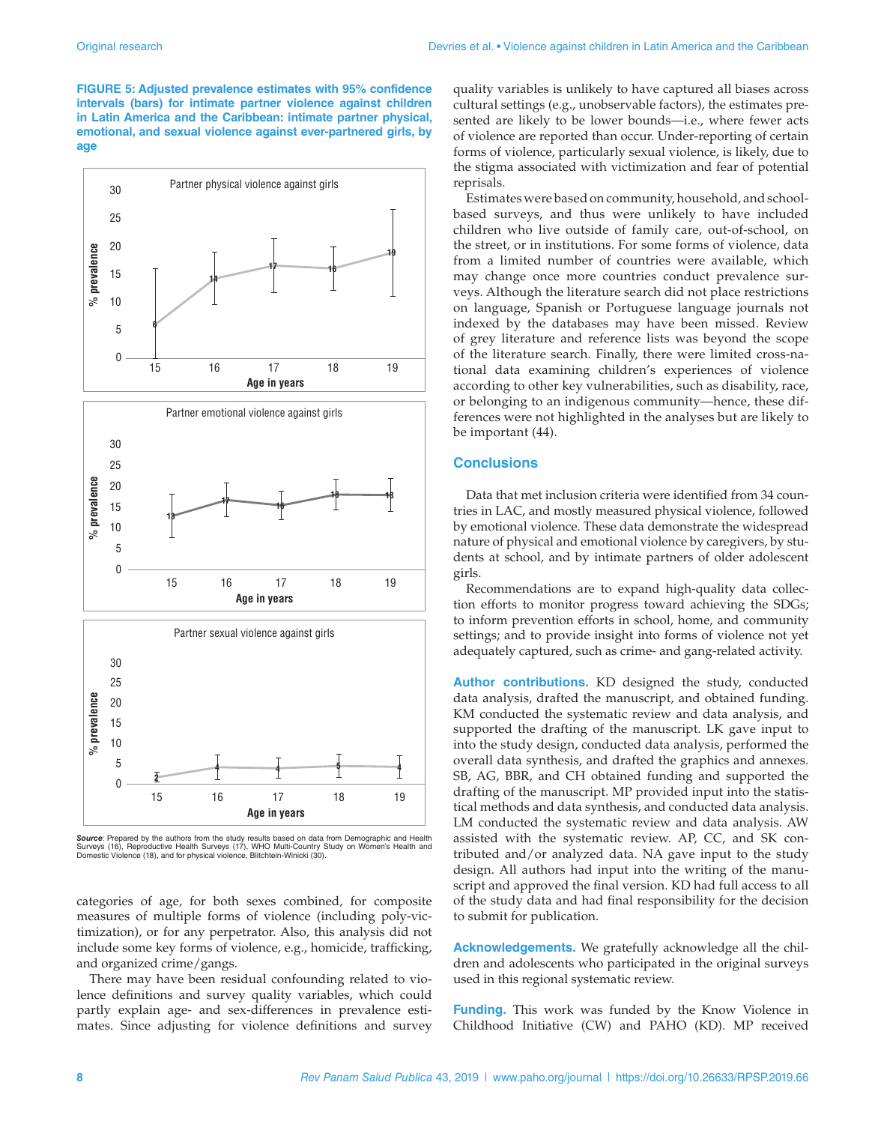**FIGURE 5: Adjusted prevalence estimates with 95% confidence intervals (bars) for intimate partner violence against children in Latin America and the Caribbean: intimate partner physical, emotional, and sexual violence against ever-partnered girls, by age**



**Source**: Prepared by the authors from the study results based on data from Demographic and Health<br>Surveys (16), Reproductive Health Surveys (17), WHO Multi-Country Study on Women's Health and<br>Domestic Violence (18), and f

categories of age, for both sexes combined, for composite measures of multiple forms of violence (including poly-victimization), or for any perpetrator. Also, this analysis did not include some key forms of violence, e.g., homicide, trafficking, and organized crime/gangs.

There may have been residual confounding related to violence definitions and survey quality variables, which could partly explain age- and sex-differences in prevalence estimates. Since adjusting for violence definitions and survey quality variables is unlikely to have captured all biases across cultural settings (e.g., unobservable factors), the estimates presented are likely to be lower bounds—i.e., where fewer acts of violence are reported than occur. Under-reporting of certain forms of violence, particularly sexual violence, is likely, due to the stigma associated with victimization and fear of potential reprisals.

Estimates were based on community, household, and schoolbased surveys, and thus were unlikely to have included children who live outside of family care, out-of-school, on the street, or in institutions. For some forms of violence, data from a limited number of countries were available, which may change once more countries conduct prevalence surveys. Although the literature search did not place restrictions on language, Spanish or Portuguese language journals not indexed by the databases may have been missed. Review of grey literature and reference lists was beyond the scope of the literature search. Finally, there were limited cross-national data examining children's experiences of violence according to other key vulnerabilities, such as disability, race, or belonging to an indigenous community—hence, these differences were not highlighted in the analyses but are likely to be important (44).

#### **Conclusions**

Data that met inclusion criteria were identified from 34 countries in LAC, and mostly measured physical violence, followed by emotional violence. These data demonstrate the widespread nature of physical and emotional violence by caregivers, by students at school, and by intimate partners of older adolescent girls.

Recommendations are to expand high-quality data collection efforts to monitor progress toward achieving the SDGs; to inform prevention efforts in school, home, and community settings; and to provide insight into forms of violence not yet adequately captured, such as crime- and gang-related activity.

**Author contributions.** KD designed the study, conducted data analysis, drafted the manuscript, and obtained funding. KM conducted the systematic review and data analysis, and supported the drafting of the manuscript. LK gave input to into the study design, conducted data analysis, performed the overall data synthesis, and drafted the graphics and annexes. SB, AG, BBR, and CH obtained funding and supported the drafting of the manuscript. MP provided input into the statistical methods and data synthesis, and conducted data analysis. LM conducted the systematic review and data analysis. AW assisted with the systematic review. AP, CC, and SK contributed and/or analyzed data. NA gave input to the study design. All authors had input into the writing of the manuscript and approved the final version. KD had full access to all of the study data and had final responsibility for the decision to submit for publication.

**Acknowledgements.** We gratefully acknowledge all the children and adolescents who participated in the original surveys used in this regional systematic review.

**Funding.** This work was funded by the Know Violence in Childhood Initiative (CW) and PAHO (KD). MP received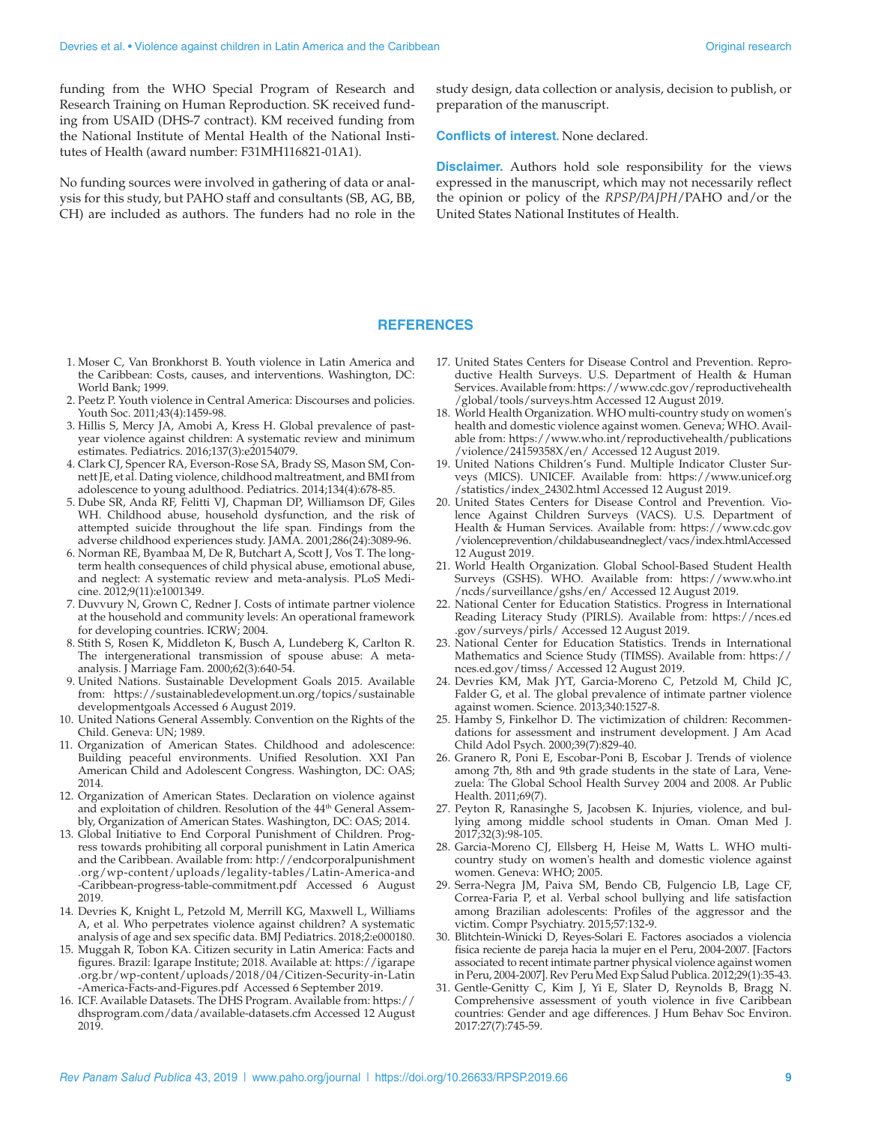funding from the WHO Special Program of Research and Research Training on Human Reproduction. SK received funding from USAID (DHS-7 contract). KM received funding from the National Institute of Mental Health of the National Institutes of Health (award number: F31MH116821-01A1).

No funding sources were involved in gathering of data or analysis for this study, but PAHO staff and consultants (SB, AG, BB, CH) are included as authors. The funders had no role in the study design, data collection or analysis, decision to publish, or preparation of the manuscript.

**Conflicts of interest.** None declared.

**Disclaimer.** Authors hold sole responsibility for the views expressed in the manuscript, which may not necessarily reflect the opinion or policy of the *RPSP/PAJPH*/PAHO and/or the United States National Institutes of Health.

#### **REFERENCES**

- 1. Moser C, Van Bronkhorst B. Youth violence in Latin America and the Caribbean: Costs, causes, and interventions. Washington, DC: World Bank; 1999.
- 2. Peetz P. Youth violence in Central America: Discourses and policies. Youth Soc. 2011;43(4):1459-98.
- 3. Hillis S, Mercy JA, Amobi A, Kress H. Global prevalence of pastyear violence against children: A systematic review and minimum estimates. Pediatrics. 2016;137(3):e20154079.
- 4. Clark CJ, Spencer RA, Everson-Rose SA, Brady SS, Mason SM, Connett JE, et al. Dating violence, childhood maltreatment, and BMI from adolescence to young adulthood. Pediatrics. 2014;134(4):678-85.
- 5. Dube SR, Anda RF, Felitti VJ, Chapman DP, Williamson DF, Giles WH. Childhood abuse, household dysfunction, and the risk of attempted suicide throughout the life span. Findings from the adverse childhood experiences study. JAMA. 2001;286(24):3089-96.
- 6. Norman RE, Byambaa M, De R, Butchart A, Scott J, Vos T. The longterm health consequences of child physical abuse, emotional abuse, and neglect: A systematic review and meta-analysis. PLoS Medicine. 2012;9(11):e1001349.
- 7. Duvvury N, Grown C, Redner J. Costs of intimate partner violence at the household and community levels: An operational framework for developing countries. ICRW; 2004.
- 8. Stith S, Rosen K, Middleton K, Busch A, Lundeberg K, Carlton R. The intergenerational transmission of spouse abuse: A metaanalysis. J Marriage Fam. 2000;62(3):640-54.
- 9. United Nations. Sustainable Development Goals 2015. Available from: [https://sustainabledevelopment.un.org/topics/sustainable](https://sustainabledevelopment.un.org/topics/sustainabledevelopmentgoals) [developmentgoals](https://sustainabledevelopment.un.org/topics/sustainabledevelopmentgoals) Accessed 6 August 2019.
- 10. United Nations General Assembly. Convention on the Rights of the Child. Geneva: UN; 1989.
- 11. Organization of American States. Childhood and adolescence: Building peaceful environments. Unified Resolution. XXI Pan American Child and Adolescent Congress. Washington, DC: OAS; 2014.
- 12. Organization of American States. Declaration on violence against and exploitation of children. Resolution of the 44<sup>th</sup> General Assembly, Organization of American States. Washington, DC: OAS; 2014.
- 13. Global Initiative to End Corporal Punishment of Children. Progress towards prohibiting all corporal punishment in Latin America and the Caribbean. Available from: [http://endcorporalpunishment](http://endcorporalpunishment.org/wp-content/uploads/legality-tables/Latin-America-and-Caribbean-progress-table-commitment.pdf) [.org/wp-content/uploads/legality-tables/Latin-America-and](http://endcorporalpunishment.org/wp-content/uploads/legality-tables/Latin-America-and-Caribbean-progress-table-commitment.pdf) [-Caribbean-progress-table-commitment.pdf](http://endcorporalpunishment.org/wp-content/uploads/legality-tables/Latin-America-and-Caribbean-progress-table-commitment.pdf) Accessed 6 August 2019.
- 14. Devries K, Knight L, Petzold M, Merrill KG, Maxwell L, Williams A, et al. Who perpetrates violence against children? A systematic analysis of age and sex specific data. BMJ Pediatrics. 2018;2:e000180.
- 15. Muggah R, Tobon KA. Citizen security in Latin America: Facts and figures. Brazil: Igarape Institute; 2018. Available at: [https://igarape](https://igarape.org.br/wp-content/uploads/2018/04/Citizen-Security-in-Latin-America-Facts-and-Figures.pdf) [.org.br/wp-content/uploads/2018/04/Citizen-Security-in-Latin](https://igarape.org.br/wp-content/uploads/2018/04/Citizen-Security-in-Latin-America-Facts-and-Figures.pdf) [-America-Facts-and-Figures.pdf](https://igarape.org.br/wp-content/uploads/2018/04/Citizen-Security-in-Latin-America-Facts-and-Figures.pdf) Accessed 6 September 2019.
- 16. ICF. Available Datasets. The DHS Program. Available from: [https://](https://dhsprogram.com/data/available-datasets.cfm) [dhsprogram.com/data/available-datasets.cfm](https://dhsprogram.com/data/available-datasets.cfm) Accessed 12 August 2019.
- 17. United States Centers for Disease Control and Prevention. Reproductive Health Surveys. U.S. Department of Health & Human Services. Available from: [https://www.cdc.gov/reproductivehealth](https://www.cdc.gov/reproductivehealth/global/tools/surveys.htm) [/global/tools/surveys.htm](https://www.cdc.gov/reproductivehealth/global/tools/surveys.htm) Accessed 12 August 2019.
- 18. World Health Organization. WHO multi-country study on women's health and domestic violence against women. Geneva; WHO. Available from: [https://www.who.int/reproductivehealth/publications](https://www.who.int/reproductivehealth/publications/violence/24159358X/en/) [/violence/24159358X/en/](https://www.who.int/reproductivehealth/publications/violence/24159358X/en/) Accessed 12 August 2019.
- 19. United Nations Children's Fund. Multiple Indicator Cluster Surveys (MICS). UNICEF. Available from: [https://www.unicef.org](https://www.unicef.org/statistics/index_24302.html) [/statistics/index\\_24302.html](https://www.unicef.org/statistics/index_24302.html) Accessed 12 August 2019.
- 20. United States Centers for Disease Control and Prevention. Violence Against Children Surveys (VACS). U.S. Department of Health & Human Services. Available from: [https://www.cdc.gov](https://www.cdc.gov/violenceprevention/childabuseandneglect/vacs/index.html) [/violenceprevention/childabuseandneglect/vacs/index.html A](https://www.cdc.gov/violenceprevention/childabuseandneglect/vacs/index.html)ccessed 12 August 2019.
- 21. World Health Organization. Global School-Based Student Health Surveys (GSHS). WHO. Available from: [https://www.who.int](https://www.who.int/ncds/surveillance/gshs/en/) [/ncds/surveillance/gshs/en/](https://www.who.int/ncds/surveillance/gshs/en/) Accessed 12 August 2019.
- 22. National Center for Education Statistics. Progress in International Reading Literacy Study (PIRLS). Available from: [https://nces.ed](https://nces.ed.gov/surveys/pirls/) [.gov/surveys/pirls/](https://nces.ed.gov/surveys/pirls/) Accessed 12 August 2019.
- 23. National Center for Education Statistics. Trends in International Mathematics and Science Study (TIMSS). Available from: [https://](https://nces.ed.gov/timss/) [nces.ed.gov/timss/](https://nces.ed.gov/timss/) Accessed 12 August 2019.
- 24. Devries KM, Mak JYT, Garcia-Moreno C, Petzold M, Child JC, Falder G, et al. The global prevalence of intimate partner violence against women. Science. 2013;340:1527-8.
- 25. Hamby S, Finkelhor D. The victimization of children: Recommendations for assessment and instrument development. J Am Acad Child Adol Psych. 2000;39(7):829-40.
- 26. Granero R, Poni E, Escobar-Poni B, Escobar J. Trends of violence among 7th, 8th and 9th grade students in the state of Lara, Venezuela: The Global School Health Survey 2004 and 2008. Ar Public Health. 2011;69(7).
- 27. Peyton R, Ranasinghe S, Jacobsen K. Injuries, violence, and bullying among middle school students in Oman. Oman Med J. 2017;32(3):98-105.
- 28. Garcia-Moreno CJ, Ellsberg H, Heise M, Watts L. WHO multicountry study on women's health and domestic violence against women. Geneva: WHO; 2005.
- 29. Serra-Negra JM, Paiva SM, Bendo CB, Fulgencio LB, Lage CF, Correa-Faria P, et al. Verbal school bullying and life satisfaction among Brazilian adolescents: Profiles of the aggressor and the victim. Compr Psychiatry. 2015;57:132-9.
- 30. Blitchtein-Winicki D, Reyes-Solari E. Factores asociados a violencia fisica reciente de pareja hacia la mujer en el Peru, 2004-2007. [Factors associated to recent intimate partner physical violence against women in Peru, 2004-2007]. Rev Peru Med Exp Salud Publica. 2012;29(1):35-43.
- 31. Gentle-Genitty C, Kim J, Yi E, Slater D, Reynolds B, Bragg N. Comprehensive assessment of youth violence in five Caribbean countries: Gender and age differences. J Hum Behav Soc Environ. 2017:27(7):745-59.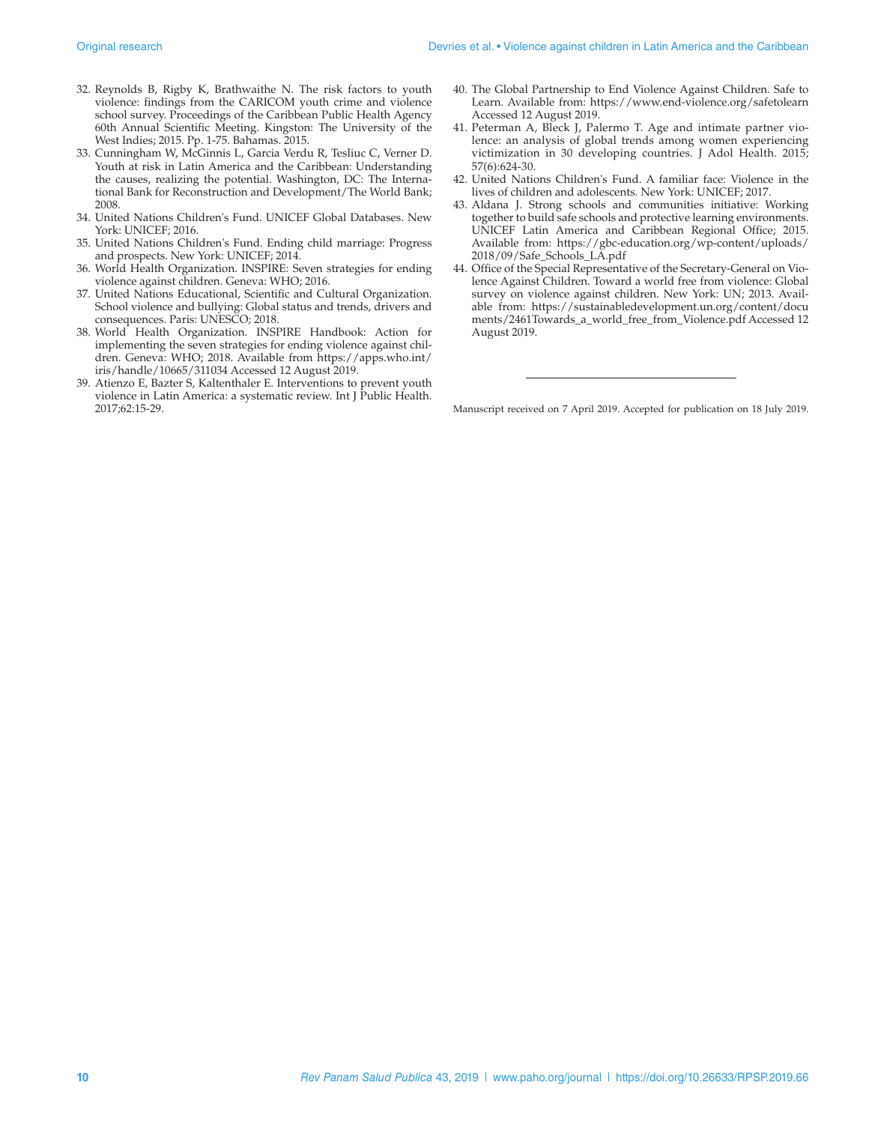- 32. Reynolds B, Rigby K, Brathwaithe N. The risk factors to youth violence: findings from the CARICOM youth crime and violence school survey. Proceedings of the Caribbean Public Health Agency 60th Annual Scientific Meeting. Kingston: The University of the West Indies; 2015. Pp. 1-75. Bahamas. 2015.
- 33. Cunningham W, McGinnis L, Garcia Verdu R, Tesliuc C, Verner D. Youth at risk in Latin America and the Caribbean: Understanding the causes, realizing the potential. Washington, DC: The International Bank for Reconstruction and Development/The World Bank; 2008.
- 34. United Nations Children's Fund. UNICEF Global Databases. New York: UNICEF; 2016.
- 35. United Nations Children's Fund. Ending child marriage: Progress and prospects. New York: UNICEF; 2014.
- 36. World Health Organization. INSPIRE: Seven strategies for ending violence against children. Geneva: WHO; 2016.
- 37. United Nations Educational, Scientific and Cultural Organization. School violence and bullying: Global status and trends, drivers and consequences. Paris: UNESCO; 2018.
- 38. World Health Organization. INSPIRE Handbook: Action for implementing the seven strategies for ending violence against children. Geneva: WHO; 2018. Available from [https://apps.who.int/](https://apps.who.int/iris/handle/10665/311034) [iris/handle/10665/311034](https://apps.who.int/iris/handle/10665/311034) Accessed 12 August 2019.
- 39. Atienzo E, Bazter S, Kaltenthaler E. Interventions to prevent youth violence in Latin America: a systematic review. Int J Public Health. 2017;62:15-29.
- 40. The Global Partnership to End Violence Against Children. Safe to Learn. Available from: <https://www.end-violence.org/safetolearn> Accessed 12 August 2019.
- 41. Peterman A, Bleck J, Palermo T. Age and intimate partner violence: an analysis of global trends among women experiencing victimization in 30 developing countries. J Adol Health. 2015; 57(6):624-30.
- 42. United Nations Children's Fund. A familiar face: Violence in the lives of children and adolescents. New York: UNICEF; 2017.
- 43. Aldana J. Strong schools and communities initiative: Working together to build safe schools and protective learning environments. UNICEF Latin America and Caribbean Regional Office; 2015. Available from: [https://gbc-education.org/wp-content/uploads/](https://gbc-education.org/wp-content/uploads/2018/09/Safe_Schools_LA.pdf) [2018/09/Safe\\_Schools\\_LA.pdf](https://gbc-education.org/wp-content/uploads/2018/09/Safe_Schools_LA.pdf)
- 44. Office of the Special Representative of the Secretary-General on Violence Against Children. Toward a world free from violence: Global survey on violence against children. New York: UN; 2013. Available from: [https://sustainabledevelopment.un.org/content/docu](https://sustainabledevelopment.un.org/content/documents/2461Towards_a_world_free_from_Violence.pdf) [ments/2461Towards\\_a\\_world\\_free\\_from\\_Violence.pdf](https://sustainabledevelopment.un.org/content/documents/2461Towards_a_world_free_from_Violence.pdf) Accessed 12 August 2019.

Manuscript received on 7 April 2019. Accepted for publication on 18 July 2019.